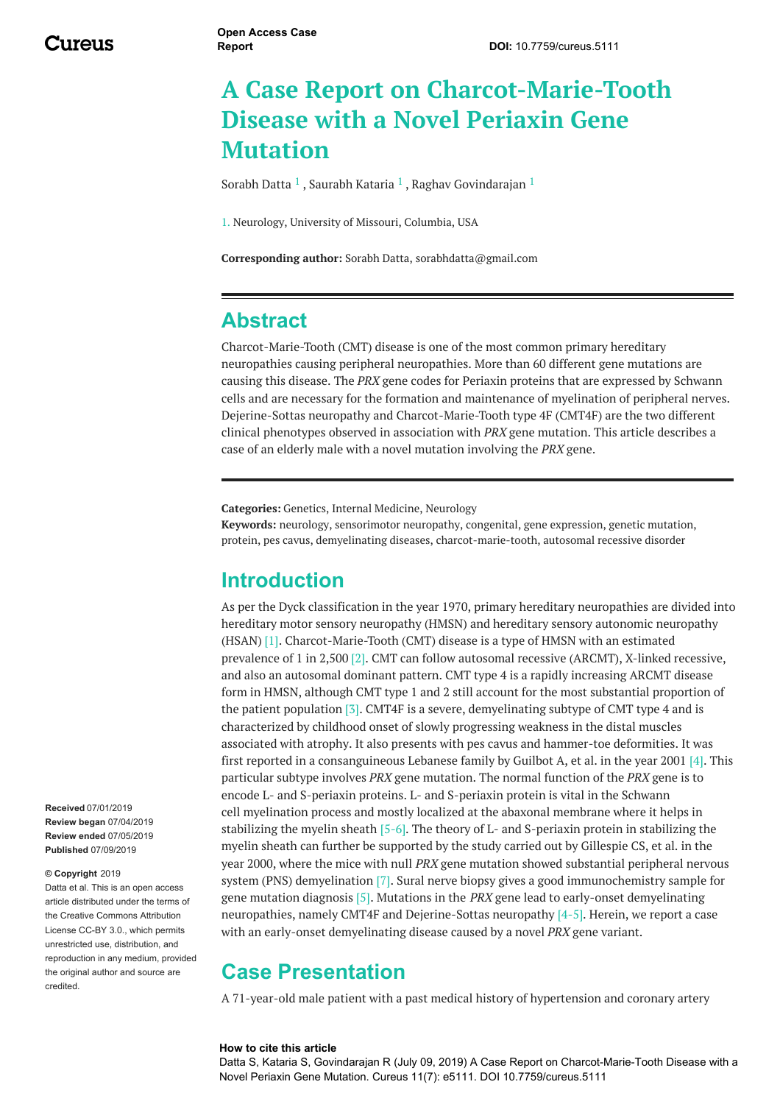# **A Case Report on Charcot-Marie-Tooth Disease with a Novel Periaxin Gene Mutation**

[Sorabh](https://www.cureus.com/users/97564-sorabh-datta) Datta  $^1$  , [Saurabh](https://www.cureus.com/users/118912-saurabh-kataria) Kataria  $^1$  , Raghav [Govindarajan](https://www.cureus.com/users/54935-raghav-govindarajan)  $^1$ 

1. Neurology, University of Missouri, Columbia, USA

**Corresponding author:** Sorabh Datta, sorabhdatta@gmail.com

#### **Abstract**

Charcot-Marie-Tooth (CMT) disease is one of the most common primary hereditary neuropathies causing peripheral neuropathies. More than 60 different gene mutations are causing this disease. The *PRX* gene codes for Periaxin proteins that are expressed by Schwann cells and are necessary for the formation and maintenance of myelination of peripheral nerves. Dejerine-Sottas neuropathy and Charcot-Marie-Tooth type 4F (CMT4F) are the two different clinical phenotypes observed in association with *PRX* gene mutation. This article describes a case of an elderly male with a novel mutation involving the *PRX* gene.

**Categories:** Genetics, Internal Medicine, Neurology **Keywords:** neurology, sensorimotor neuropathy, congenital, gene expression, genetic mutation, protein, pes cavus, demyelinating diseases, charcot-marie-tooth, autosomal recessive disorder

### **Introduction**

As per the Dyck classification in the year 1970, primary hereditary neuropathies are divided into hereditary motor sensory neuropathy (HMSN) and hereditary sensory autonomic neuropathy (HSAN) [1]. Charcot-Marie-Tooth (CMT) disease is a type of HMSN with an estimated prevalence of 1 in 2,500 [2]. CMT can follow autosomal recessive (ARCMT), X-linked recessive, and also an autosomal dominant pattern. CMT type 4 is a rapidly increasing ARCMT disease form in HMSN, although CMT type 1 and 2 still account for the most substantial proportion of the patient population [3]. CMT4F is a severe, demyelinating subtype of CMT type 4 and is characterized by childhood onset of slowly progressing weakness in the distal muscles associated with atrophy. It also presents with pes cavus and hammer-toe deformities. It was first reported in a consanguineous Lebanese family by Guilbot A, et al. in the year 2001 [4]. This particular subtype involves *PRX* gene mutation. The normal function of the *PRX* gene is to encode L- and S-periaxin proteins. L- and S-periaxin protein is vital in the Schwann cell myelination process and mostly localized at the abaxonal membrane where it helps in stabilizing the myelin sheath [5-6]. The theory of L- and S-periaxin protein in stabilizing the myelin sheath can further be supported by the study carried out by Gillespie CS, et al. in the year 2000, where the mice with null *PRX* gene mutation showed substantial peripheral nervous system (PNS) demyelination [7]. Sural nerve biopsy gives a good immunochemistry sample for gene mutation diagnosis [5]. Mutations in the *PRX* gene lead to early-onset demyelinating neuropathies, namely CMT4F and Dejerine-Sottas neuropathy [4-5]. Herein, we report a case with an early-onset demyelinating disease caused by a novel *PRX* gene variant.

### **Case Presentation**

A 71-year-old male patient with a past medical history of hypertension and coronary artery

#### **How to cite this article**

Datta S, Kataria S, Govindarajan R (July 09, 2019) A Case Report on Charcot-Marie-Tooth Disease with a Novel Periaxin Gene Mutation. Cureus 11(7): e5111. DOI 10.7759/cureus.5111

**Received** 07/01/2019 **Review began** 07/04/2019 **Review ended** 07/05/2019 **Published** 07/09/2019

#### **© Copyright** 2019

Datta et al. This is an open access article distributed under the terms of the Creative Commons Attribution License CC-BY 3.0., which permits unrestricted use, distribution, and reproduction in any medium, provided the original author and source are credited.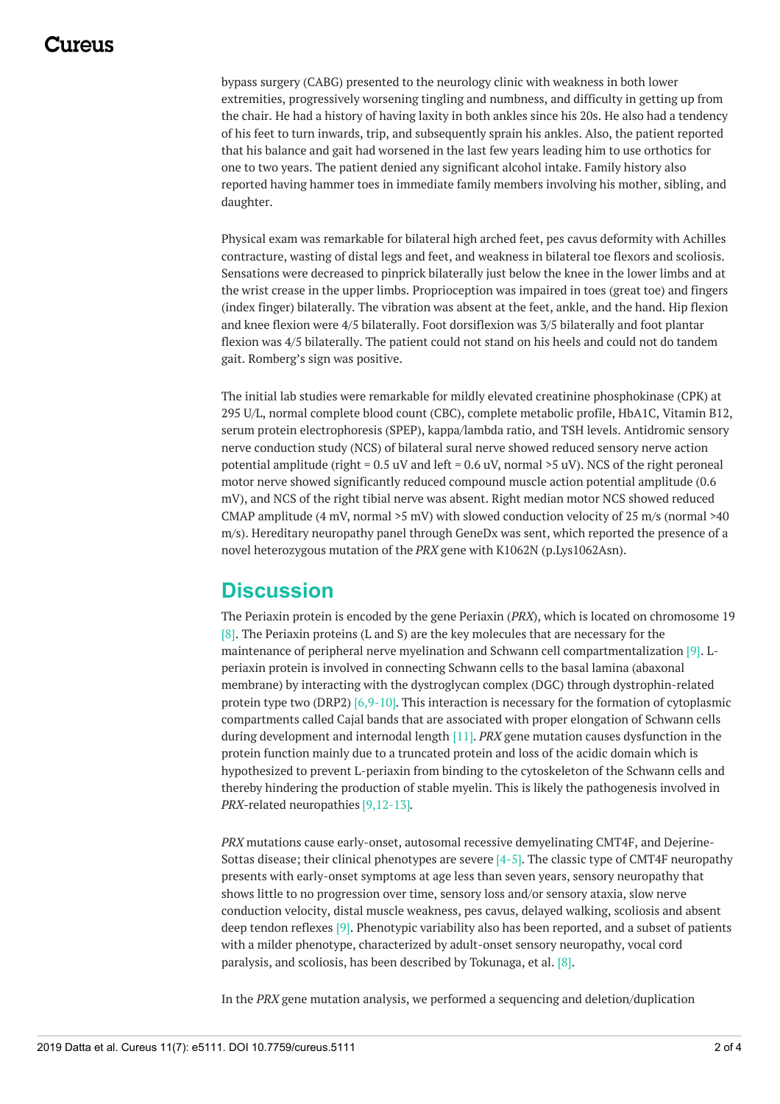### 1174110

bypass surgery (CABG) presented to the neurology clinic with weakness in both lower extremities, progressively worsening tingling and numbness, and difficulty in getting up from the chair. He had a history of having laxity in both ankles since his 20s. He also had a tendency of his feet to turn inwards, trip, and subsequently sprain his ankles. Also, the patient reported that his balance and gait had worsened in the last few years leading him to use orthotics for one to two years. The patient denied any significant alcohol intake. Family history also reported having hammer toes in immediate family members involving his mother, sibling, and daughter.

Physical exam was remarkable for bilateral high arched feet, pes cavus deformity with Achilles contracture, wasting of distal legs and feet, and weakness in bilateral toe flexors and scoliosis. Sensations were decreased to pinprick bilaterally just below the knee in the lower limbs and at the wrist crease in the upper limbs. Proprioception was impaired in toes (great toe) and fingers (index finger) bilaterally. The vibration was absent at the feet, ankle, and the hand. Hip flexion and knee flexion were 4/5 bilaterally. Foot dorsiflexion was 3/5 bilaterally and foot plantar flexion was 4/5 bilaterally. The patient could not stand on his heels and could not do tandem gait. Romberg's sign was positive.

The initial lab studies were remarkable for mildly elevated creatinine phosphokinase (CPK) at 295 U/L, normal complete blood count (CBC), complete metabolic profile, HbA1C, Vitamin B12, serum protein electrophoresis (SPEP), kappa/lambda ratio, and TSH levels. Antidromic sensory nerve conduction study (NCS) of bilateral sural nerve showed reduced sensory nerve action potential amplitude (right =  $0.5$  uV and left =  $0.6$  uV, normal  $>5$  uV). NCS of the right peroneal motor nerve showed significantly reduced compound muscle action potential amplitude (0.6 mV), and NCS of the right tibial nerve was absent. Right median motor NCS showed reduced CMAP amplitude (4 mV, normal  $>5$  mV) with slowed conduction velocity of 25 m/s (normal  $>40$ m/s). Hereditary neuropathy panel through GeneDx was sent, which reported the presence of a novel heterozygous mutation of the *PRX* gene with K1062N (p.Lys1062Asn).

## **Discussion**

The Periaxin protein is encoded by the gene Periaxin (*PRX*), which is located on chromosome 19  $[8]$ . The Periaxin proteins (L and S) are the key molecules that are necessary for the maintenance of peripheral nerve myelination and Schwann cell compartmentalization [9]. Lperiaxin protein is involved in connecting Schwann cells to the basal lamina (abaxonal membrane) by interacting with the dystroglycan complex (DGC) through dystrophin-related protein type two (DRP2) [6,9-10]. This interaction is necessary for the formation of cytoplasmic compartments called Cajal bands that are associated with proper elongation of Schwann cells during development and internodal length [11]. *PRX* gene mutation causes dysfunction in the protein function mainly due to a truncated protein and loss of the acidic domain which is hypothesized to prevent L-periaxin from binding to the cytoskeleton of the Schwann cells and thereby hindering the production of stable myelin. This is likely the pathogenesis involved in *PRX*-related neuropathies [9,12-13].

*PRX* mutations cause early-onset, autosomal recessive demyelinating CMT4F, and Dejerine-Sottas disease; their clinical phenotypes are severe [4-5]. The classic type of CMT4F neuropathy presents with early-onset symptoms at age less than seven years, sensory neuropathy that shows little to no progression over time, sensory loss and/or sensory ataxia, slow nerve conduction velocity, distal muscle weakness, pes cavus, delayed walking, scoliosis and absent deep tendon reflexes [9]. Phenotypic variability also has been reported, and a subset of patients with a milder phenotype, characterized by adult-onset sensory neuropathy, vocal cord paralysis, and scoliosis, has been described by Tokunaga, et al. [8].

In the *PRX* gene mutation analysis, we performed a sequencing and deletion/duplication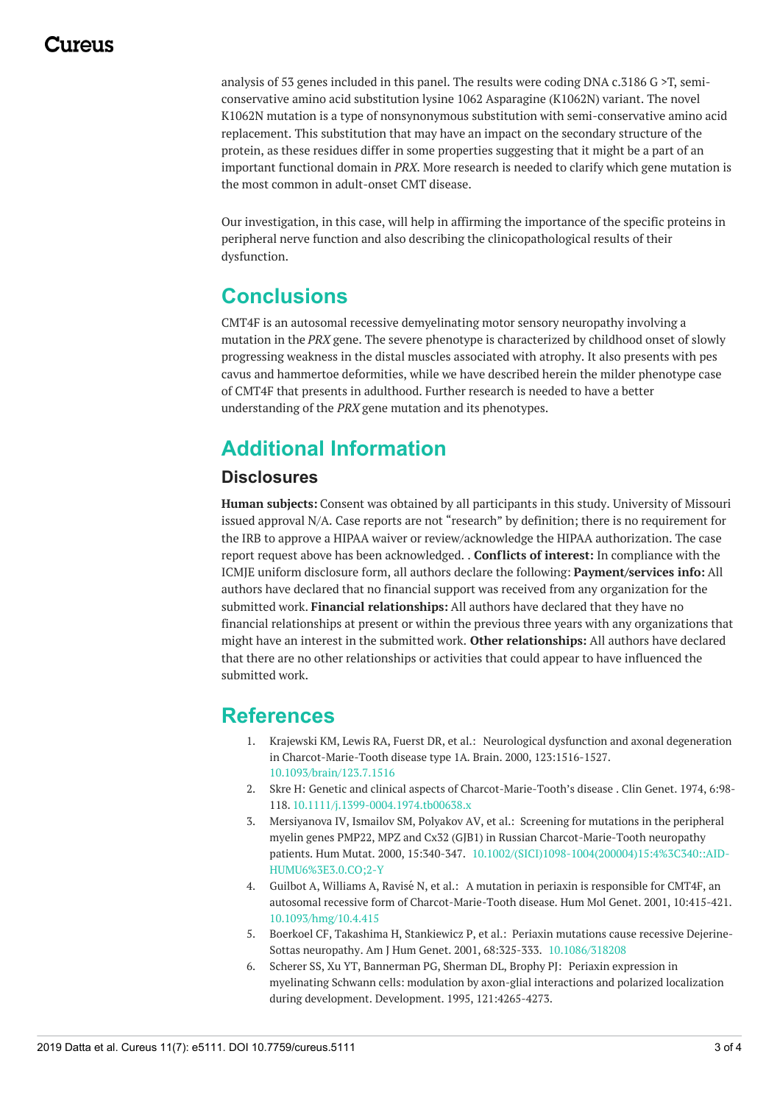analysis of 53 genes included in this panel. The results were coding DNA c.3186 G >T, semiconservative amino acid substitution lysine 1062 Asparagine (K1062N) variant. The novel K1062N mutation is a type of nonsynonymous substitution with semi-conservative amino acid replacement. This substitution that may have an impact on the secondary structure of the protein, as these residues differ in some properties suggesting that it might be a part of an important functional domain in *PRX*. More research is needed to clarify which gene mutation is the most common in adult-onset CMT disease.

Our investigation, in this case, will help in affirming the importance of the specific proteins in peripheral nerve function and also describing the clinicopathological results of their dysfunction.

### **Conclusions**

CMT4F is an autosomal recessive demyelinating motor sensory neuropathy involving a mutation in the *PRX* gene. The severe phenotype is characterized by childhood onset of slowly progressing weakness in the distal muscles associated with atrophy. It also presents with pes cavus and hammertoe deformities, while we have described herein the milder phenotype case of CMT4F that presents in adulthood. Further research is needed to have a better understanding of the *PRX* gene mutation and its phenotypes.

## **Additional Information**

#### **Disclosures**

**Human subjects:** Consent was obtained by all participants in this study. University of Missouri issued approval N/A. Case reports are not "research" by definition; there is no requirement for the IRB to approve a HIPAA waiver or review/acknowledge the HIPAA authorization. The case report request above has been acknowledged. . **Conflicts of interest:** In compliance with the ICMJE uniform disclosure form, all authors declare the following: **Payment/services info:** All authors have declared that no financial support was received from any organization for the submitted work. **Financial relationships:** All authors have declared that they have no financial relationships at present or within the previous three years with any organizations that might have an interest in the submitted work. **Other relationships:** All authors have declared that there are no other relationships or activities that could appear to have influenced the submitted work.

#### **References**

- 1. Krajewski KM, Lewis RA, Fuerst DR, et al.: Neurological dysfunction and axonal degeneration in [Charcot-Marie-Tooth](https://dx.doi.org/10.1093/brain/123.7.1516) disease type 1A. Brain. 2000, 123:1516-1527. [10.1093/brain/123.7.1516](https://dx.doi.org/10.1093/brain/123.7.1516)
- 2. Skre H: Genetic and clinical aspects of [Charcot-Marie-Tooth's](https://dx.doi.org/10.1111/j.1399-0004.1974.tb00638.x) disease . Clin Genet. 1974, 6:98- 118. [10.1111/j.1399-0004.1974.tb00638.x](https://dx.doi.org/10.1111/j.1399-0004.1974.tb00638.x)
- 3. Mersiyanova IV, Ismailov SM, Polyakov AV, et al.: Screening for mutations in the peripheral myelin genes PMP22, MPZ and Cx32 (GJB1) in Russian Charcot-Marie-Tooth neuropathy patients. Hum Mutat. 2000, 15:340-347. [10.1002/\(SICI\)1098-1004\(200004\)15:4%3C340::AID-](https://dx.doi.org/10.1002/(SICI)1098-1004(200004)15:4%3C340::AID-HUMU6%3E3.0.CO;2-Y)HUMU6%3E3.0.CO;2-Y
- 4. Guilbot A, Williams A, Ravisé N, et al.: A mutation in periaxin is responsible for CMT4F, an autosomal recessive form of [Charcot-Marie-Tooth](https://dx.doi.org/10.1093/hmg/10.4.415) disease. Hum Mol Genet. 2001, 10:415-421. [10.1093/hmg/10.4.415](https://dx.doi.org/10.1093/hmg/10.4.415)
- 5. Boerkoel CF, Takashima H, Stankiewicz P, et al.: Periaxin mutations cause recessive Dejerine-Sottas neuropathy. Am J Hum Genet. 2001, 68:325-333. [10.1086/318208](https://dx.doi.org/10.1086/318208)
- 6. Scherer SS, Xu YT, Bannerman PG, Sherman DL, Brophy PJ: Periaxin expression in myelinating Schwann cells: modulation by axon-glial interactions and polarized localization during development. Development. 1995, [121:4265-4273.](https://www.ncbi.nlm.nih.gov/pubmed/8575326)